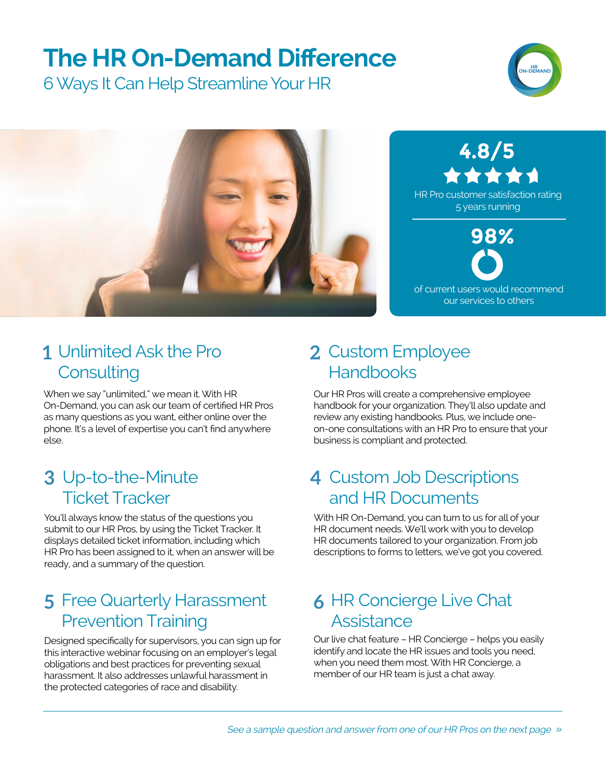## **The HR On-Demand Difference**

6 Ways It Can Help Streamline Your HR





#### Unlimited Ask the Pro **1 2 Consulting**

When we say "unlimited," we mean it. With HR On-Demand, you can ask our team of certified HR Pros as many questions as you want, either online over the phone. It's a level of expertise you can't find anywhere else.

#### Up-to-the-Minute **3 4** Ticket Tracker

You'll always know the status of the questions you submit to our HR Pros, by using the Ticket Tracker. It displays detailed ticket information, including which HR Pro has been assigned to it, when an answer will be ready, and a summary of the question.

#### Free Quarterly Harassment **5 6** Prevention Training

Designed specifically for supervisors, you can sign up for this interactive webinar focusing on an employer's legal obligations and best practices for preventing sexual harassment. It also addresses unlawful harassment in the protected categories of race and disability.

#### 2 Custom Employee **Handbooks**

Our HR Pros will create a comprehensive employee handbook for your organization. They'll also update and review any existing handbooks. Plus, we include oneon-one consultations with an HR Pro to ensure that your business is compliant and protected.

#### 4 Custom Job Descriptions and HR Documents

With HR On-Demand, you can turn to us for all of your HR document needs. We'll work with you to develop HR documents tailored to your organization. From job descriptions to forms to letters, we've got you covered.

#### **6 HR Concierge Live Chat Assistance**

Our live chat feature – HR Concierge – helps you easily identify and locate the HR issues and tools you need, when you need them most. With HR Concierge, a member of our HR team is just a chat away.